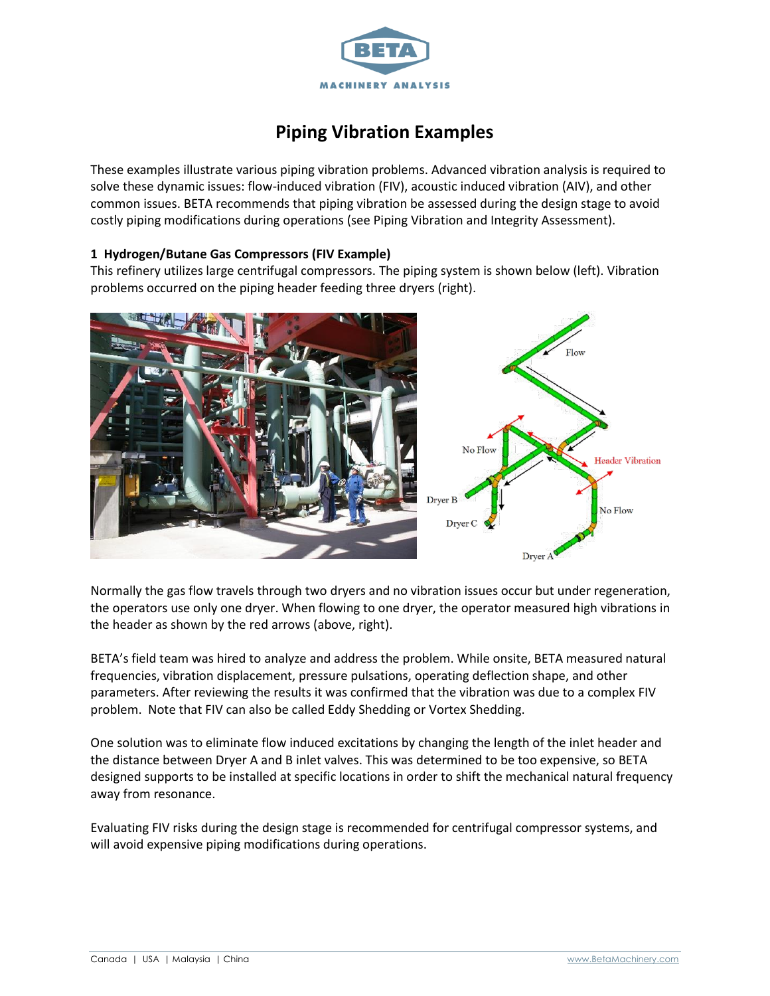

# **Piping Vibration Examples**

These examples illustrate various piping vibration problems. Advanced vibration analysis is required to solve these dynamic issues: flow-induced vibration (FIV), acoustic induced vibration (AIV), and other common issues. BETA recommends that piping vibration be assessed during the design stage to avoid costly piping modifications during operations (see Piping Vibration and Integrity Assessment).

## **1 Hydrogen/Butane Gas Compressors (FIV Example)**

This refinery utilizes large centrifugal compressors. The piping system is shown below (left). Vibration problems occurred on the piping header feeding three dryers (right).



Normally the gas flow travels through two dryers and no vibration issues occur but under regeneration, the operators use only one dryer. When flowing to one dryer, the operator measured high vibrations in the header as shown by the red arrows (above, right).

BETA's field team was hired to analyze and address the problem. While onsite, BETA measured natural frequencies, vibration displacement, pressure pulsations, operating deflection shape, and other parameters. After reviewing the results it was confirmed that the vibration was due to a complex FIV problem. Note that FIV can also be called Eddy Shedding or Vortex Shedding.

One solution was to eliminate flow induced excitations by changing the length of the inlet header and the distance between Dryer A and B inlet valves. This was determined to be too expensive, so BETA designed supports to be installed at specific locations in order to shift the mechanical natural frequency away from resonance.

Evaluating FIV risks during the design stage is recommended for centrifugal compressor systems, and will avoid expensive piping modifications during operations.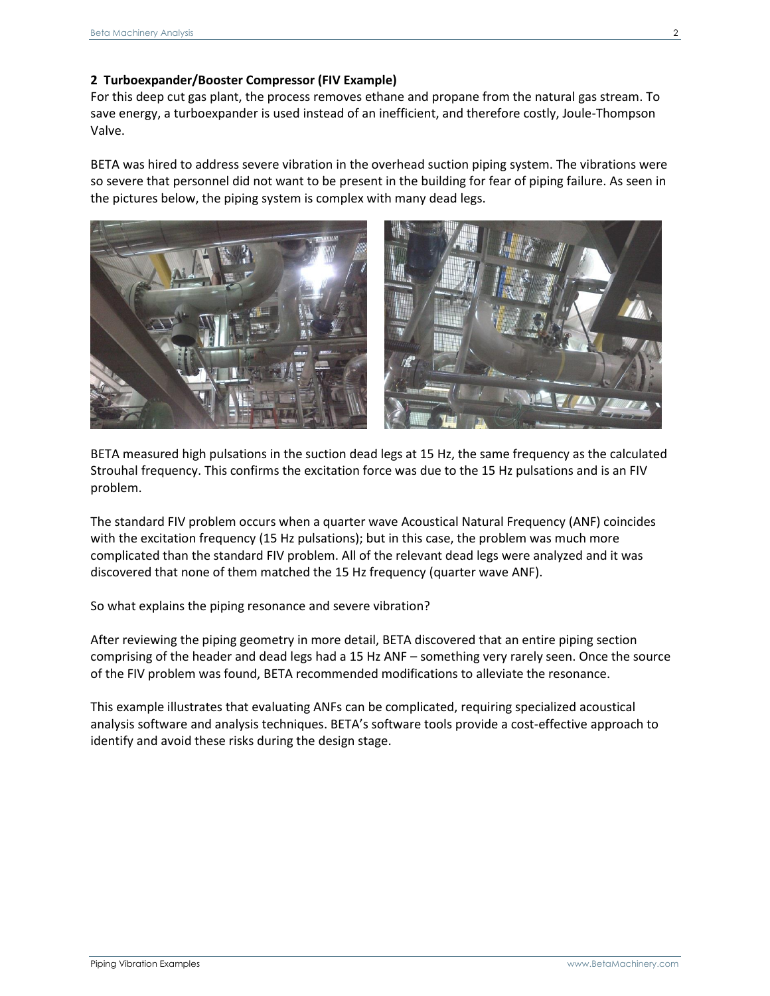# **2 Turboexpander/Booster Compressor (FIV Example)**

For this deep cut gas plant, the process removes ethane and propane from the natural gas stream. To save energy, a turboexpander is used instead of an inefficient, and therefore costly, Joule-Thompson Valve.

BETA was hired to address severe vibration in the overhead suction piping system. The vibrations were so severe that personnel did not want to be present in the building for fear of piping failure. As seen in the pictures below, the piping system is complex with many dead legs.



BETA measured high pulsations in the suction dead legs at 15 Hz, the same frequency as the calculated Strouhal frequency. This confirms the excitation force was due to the 15 Hz pulsations and is an FIV problem.

The standard FIV problem occurs when a quarter wave Acoustical Natural Frequency (ANF) coincides with the excitation frequency (15 Hz pulsations); but in this case, the problem was much more complicated than the standard FIV problem. All of the relevant dead legs were analyzed and it was discovered that none of them matched the 15 Hz frequency (quarter wave ANF).

So what explains the piping resonance and severe vibration?

After reviewing the piping geometry in more detail, BETA discovered that an entire piping section comprising of the header and dead legs had a 15 Hz ANF – something very rarely seen. Once the source of the FIV problem was found, BETA recommended modifications to alleviate the resonance.

This example illustrates that evaluating ANFs can be complicated, requiring specialized acoustical analysis software and analysis techniques. BETA's software tools provide a cost-effective approach to identify and avoid these risks during the design stage.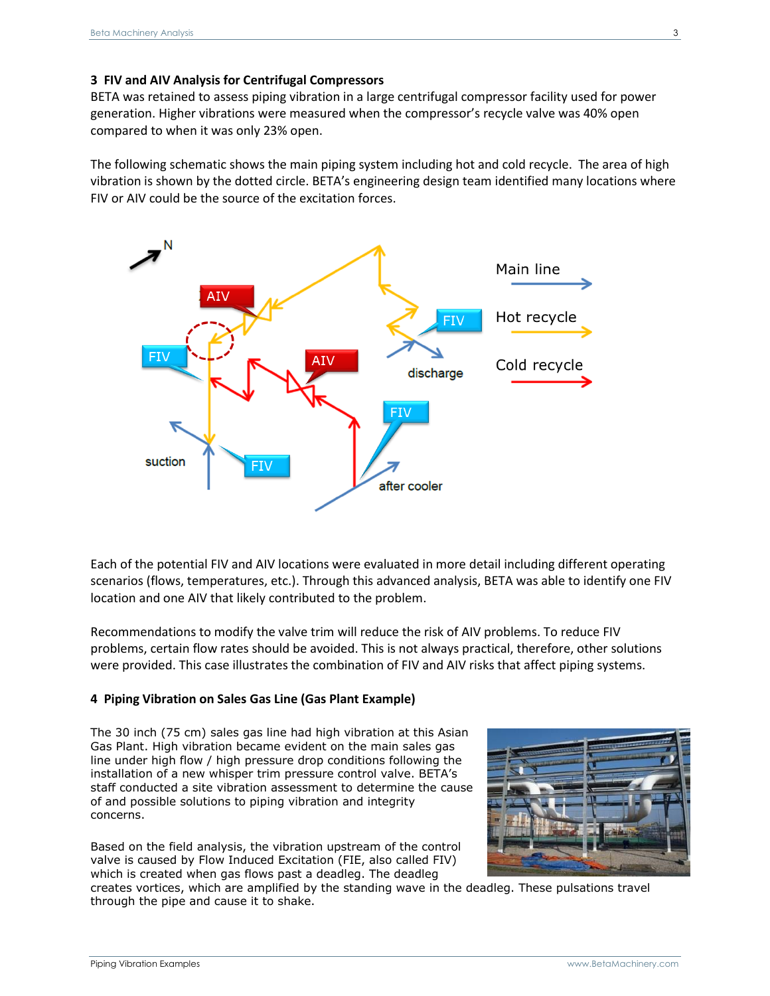## **3 FIV and AIV Analysis for Centrifugal Compressors**

BETA was retained to assess piping vibration in a large centrifugal compressor facility used for power generation. Higher vibrations were measured when the compressor's recycle valve was 40% open compared to when it was only 23% open.

The following schematic shows the main piping system including hot and cold recycle. The area of high vibration is shown by the dotted circle. BETA's engineering design team identified many locations where FIV or AIV could be the source of the excitation forces.



Each of the potential FIV and AIV locations were evaluated in more detail including different operating scenarios (flows, temperatures, etc.). Through this advanced analysis, BETA was able to identify one FIV location and one AIV that likely contributed to the problem.

Recommendations to modify the valve trim will reduce the risk of AIV problems. To reduce FIV problems, certain flow rates should be avoided. This is not always practical, therefore, other solutions were provided. This case illustrates the combination of FIV and AIV risks that affect piping systems.

#### **4 Piping Vibration on Sales Gas Line (Gas Plant Example)**

The 30 inch (75 cm) sales gas line had high vibration at this Asian Gas Plant. High vibration became evident on the main sales gas line under high flow / high pressure drop conditions following the installation of a new whisper trim pressure control valve. BETA's staff conducted a site vibration assessment to determine the cause of and possible solutions to piping vibration and integrity concerns.

Based on the field analysis, the vibration upstream of the control valve is caused by Flow Induced Excitation (FIE, also called FIV) which is created when gas flows past a deadleg. The deadleg



creates vortices, which are amplified by the standing wave in the deadleg. These pulsations travel through the pipe and cause it to shake.